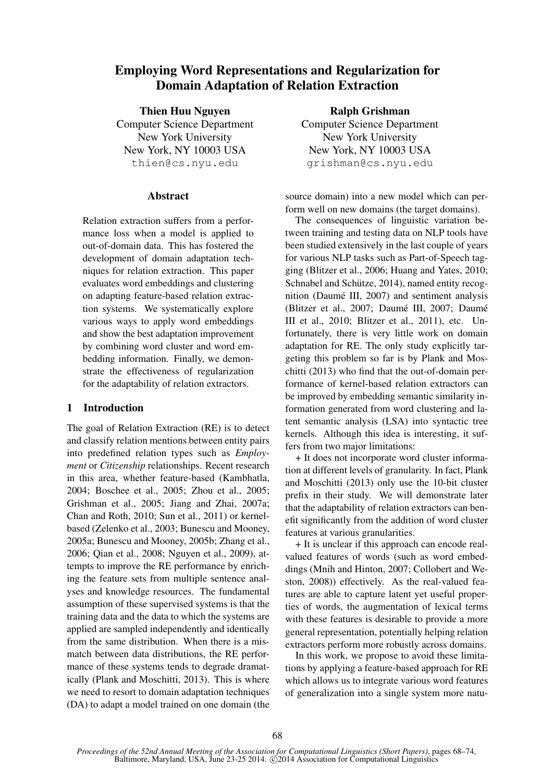# Employing Word Representations and Regularization for Domain Adaptation of Relation Extraction

Thien Huu Nguyen

Computer Science Department New York University New York, NY 10003 USA thien@cs.nyu.edu

#### **Abstract**

Relation extraction suffers from a performance loss when a model is applied to out-of-domain data. This has fostered the development of domain adaptation techniques for relation extraction. This paper evaluates word embeddings and clustering on adapting feature-based relation extraction systems. We systematically explore various ways to apply word embeddings and show the best adaptation improvement by combining word cluster and word embedding information. Finally, we demonstrate the effectiveness of regularization for the adaptability of relation extractors.

# 1 Introduction

The goal of Relation Extraction (RE) is to detect and classify relation mentions between entity pairs into predefined relation types such as *Employment* or *Citizenship* relationships. Recent research in this area, whether feature-based (Kambhatla, 2004; Boschee et al., 2005; Zhou et al., 2005; Grishman et al., 2005; Jiang and Zhai, 2007a; Chan and Roth, 2010; Sun et al., 2011) or kernelbased (Zelenko et al., 2003; Bunescu and Mooney, 2005a; Bunescu and Mooney, 2005b; Zhang et al., 2006; Qian et al., 2008; Nguyen et al., 2009), attempts to improve the RE performance by enriching the feature sets from multiple sentence analyses and knowledge resources. The fundamental assumption of these supervised systems is that the training data and the data to which the systems are applied are sampled independently and identically from the same distribution. When there is a mismatch between data distributions, the RE performance of these systems tends to degrade dramatically (Plank and Moschitti, 2013). This is where we need to resort to domain adaptation techniques (DA) to adapt a model trained on one domain (the

Ralph Grishman Computer Science Department New York University New York, NY 10003 USA grishman@cs.nyu.edu

source domain) into a new model which can perform well on new domains (the target domains).

The consequences of linguistic variation between training and testing data on NLP tools have been studied extensively in the last couple of years for various NLP tasks such as Part-of-Speech tagging (Blitzer et al., 2006; Huang and Yates, 2010; Schnabel and Schütze, 2014), named entity recognition (Daumé III, 2007) and sentiment analysis (Blitzer et al., 2007; Daumé III, 2007; Daumé III et al., 2010; Blitzer et al., 2011), etc. Unfortunately, there is very little work on domain adaptation for RE. The only study explicitly targeting this problem so far is by Plank and Moschitti (2013) who find that the out-of-domain performance of kernel-based relation extractors can be improved by embedding semantic similarity information generated from word clustering and latent semantic analysis (LSA) into syntactic tree kernels. Although this idea is interesting, it suffers from two major limitations:

+ It does not incorporate word cluster information at different levels of granularity. In fact, Plank and Moschitti (2013) only use the 10-bit cluster prefix in their study. We will demonstrate later that the adaptability of relation extractors can benefit significantly from the addition of word cluster features at various granularities.

+ It is unclear if this approach can encode realvalued features of words (such as word embeddings (Mnih and Hinton, 2007; Collobert and Weston, 2008)) effectively. As the real-valued features are able to capture latent yet useful properties of words, the augmentation of lexical terms with these features is desirable to provide a more general representation, potentially helping relation extractors perform more robustly across domains.

In this work, we propose to avoid these limitations by applying a feature-based approach for RE which allows us to integrate various word features of generalization into a single system more natu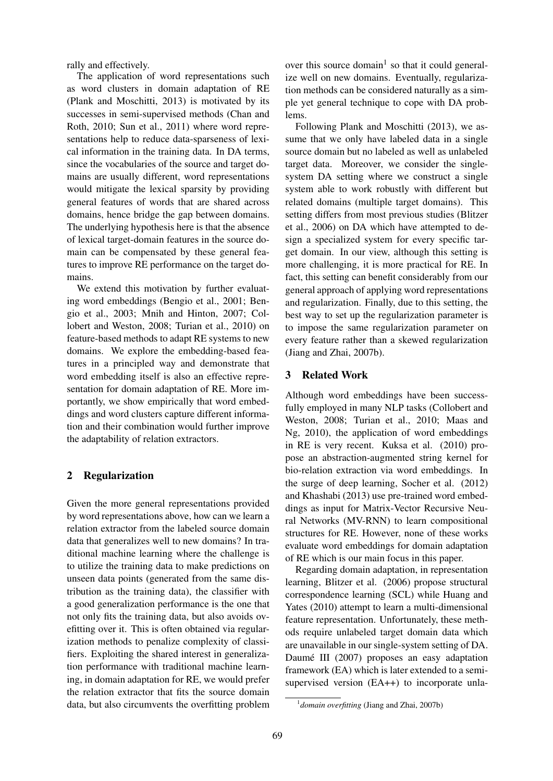rally and effectively.

The application of word representations such as word clusters in domain adaptation of RE (Plank and Moschitti, 2013) is motivated by its successes in semi-supervised methods (Chan and Roth, 2010; Sun et al., 2011) where word representations help to reduce data-sparseness of lexical information in the training data. In DA terms, since the vocabularies of the source and target domains are usually different, word representations would mitigate the lexical sparsity by providing general features of words that are shared across domains, hence bridge the gap between domains. The underlying hypothesis here is that the absence of lexical target-domain features in the source domain can be compensated by these general features to improve RE performance on the target domains.

We extend this motivation by further evaluating word embeddings (Bengio et al., 2001; Bengio et al., 2003; Mnih and Hinton, 2007; Collobert and Weston, 2008; Turian et al., 2010) on feature-based methods to adapt RE systems to new domains. We explore the embedding-based features in a principled way and demonstrate that word embedding itself is also an effective representation for domain adaptation of RE. More importantly, we show empirically that word embeddings and word clusters capture different information and their combination would further improve the adaptability of relation extractors.

#### 2 Regularization

Given the more general representations provided by word representations above, how can we learn a relation extractor from the labeled source domain data that generalizes well to new domains? In traditional machine learning where the challenge is to utilize the training data to make predictions on unseen data points (generated from the same distribution as the training data), the classifier with a good generalization performance is the one that not only fits the training data, but also avoids ovefitting over it. This is often obtained via regularization methods to penalize complexity of classifiers. Exploiting the shared interest in generalization performance with traditional machine learning, in domain adaptation for RE, we would prefer the relation extractor that fits the source domain data, but also circumvents the overfitting problem

over this source domain<sup>1</sup> so that it could generalize well on new domains. Eventually, regularization methods can be considered naturally as a simple yet general technique to cope with DA problems.

Following Plank and Moschitti (2013), we assume that we only have labeled data in a single source domain but no labeled as well as unlabeled target data. Moreover, we consider the singlesystem DA setting where we construct a single system able to work robustly with different but related domains (multiple target domains). This setting differs from most previous studies (Blitzer et al., 2006) on DA which have attempted to design a specialized system for every specific target domain. In our view, although this setting is more challenging, it is more practical for RE. In fact, this setting can benefit considerably from our general approach of applying word representations and regularization. Finally, due to this setting, the best way to set up the regularization parameter is to impose the same regularization parameter on every feature rather than a skewed regularization (Jiang and Zhai, 2007b).

## 3 Related Work

Although word embeddings have been successfully employed in many NLP tasks (Collobert and Weston, 2008; Turian et al., 2010; Maas and Ng, 2010), the application of word embeddings in RE is very recent. Kuksa et al. (2010) propose an abstraction-augmented string kernel for bio-relation extraction via word embeddings. In the surge of deep learning, Socher et al. (2012) and Khashabi (2013) use pre-trained word embeddings as input for Matrix-Vector Recursive Neural Networks (MV-RNN) to learn compositional structures for RE. However, none of these works evaluate word embeddings for domain adaptation of RE which is our main focus in this paper.

Regarding domain adaptation, in representation learning, Blitzer et al. (2006) propose structural correspondence learning (SCL) while Huang and Yates (2010) attempt to learn a multi-dimensional feature representation. Unfortunately, these methods require unlabeled target domain data which are unavailable in our single-system setting of DA. Daumé III (2007) proposes an easy adaptation framework (EA) which is later extended to a semisupervised version (EA++) to incorporate unla-

<sup>1</sup> *domain overfitting* (Jiang and Zhai, 2007b)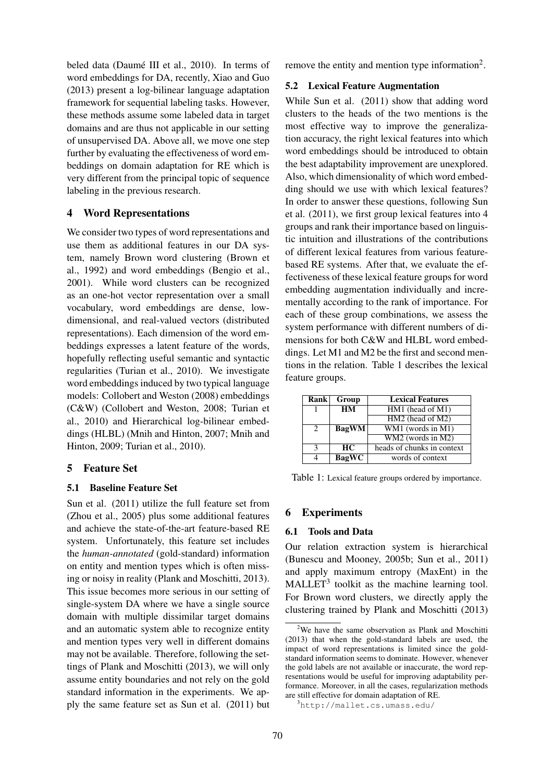beled data (Daumé III et al., 2010). In terms of word embeddings for DA, recently, Xiao and Guo (2013) present a log-bilinear language adaptation framework for sequential labeling tasks. However, these methods assume some labeled data in target domains and are thus not applicable in our setting of unsupervised DA. Above all, we move one step further by evaluating the effectiveness of word embeddings on domain adaptation for RE which is very different from the principal topic of sequence labeling in the previous research.

# 4 Word Representations

We consider two types of word representations and use them as additional features in our DA system, namely Brown word clustering (Brown et al., 1992) and word embeddings (Bengio et al., 2001). While word clusters can be recognized as an one-hot vector representation over a small vocabulary, word embeddings are dense, lowdimensional, and real-valued vectors (distributed representations). Each dimension of the word embeddings expresses a latent feature of the words, hopefully reflecting useful semantic and syntactic regularities (Turian et al., 2010). We investigate word embeddings induced by two typical language models: Collobert and Weston (2008) embeddings (C&W) (Collobert and Weston, 2008; Turian et al., 2010) and Hierarchical log-bilinear embeddings (HLBL) (Mnih and Hinton, 2007; Mnih and Hinton, 2009; Turian et al., 2010).

#### 5 Feature Set

### 5.1 Baseline Feature Set

Sun et al. (2011) utilize the full feature set from (Zhou et al., 2005) plus some additional features and achieve the state-of-the-art feature-based RE system. Unfortunately, this feature set includes the *human-annotated* (gold-standard) information on entity and mention types which is often missing or noisy in reality (Plank and Moschitti, 2013). This issue becomes more serious in our setting of single-system DA where we have a single source domain with multiple dissimilar target domains and an automatic system able to recognize entity and mention types very well in different domains may not be available. Therefore, following the settings of Plank and Moschitti (2013), we will only assume entity boundaries and not rely on the gold standard information in the experiments. We apply the same feature set as Sun et al. (2011) but remove the entity and mention type information<sup>2</sup>.

### 5.2 Lexical Feature Augmentation

While Sun et al. (2011) show that adding word clusters to the heads of the two mentions is the most effective way to improve the generalization accuracy, the right lexical features into which word embeddings should be introduced to obtain the best adaptability improvement are unexplored. Also, which dimensionality of which word embedding should we use with which lexical features? In order to answer these questions, following Sun et al. (2011), we first group lexical features into 4 groups and rank their importance based on linguistic intuition and illustrations of the contributions of different lexical features from various featurebased RE systems. After that, we evaluate the effectiveness of these lexical feature groups for word embedding augmentation individually and incrementally according to the rank of importance. For each of these group combinations, we assess the system performance with different numbers of dimensions for both C&W and HLBL word embeddings. Let M1 and M2 be the first and second mentions in the relation. Table 1 describes the lexical feature groups.

| Rank         | Group        | <b>Lexical Features</b>    |  |  |
|--------------|--------------|----------------------------|--|--|
|              | <b>HM</b>    | HM1 (head of M1)           |  |  |
|              |              | HM2 (head of M2)           |  |  |
| 2            | <b>BagWM</b> | $WM1$ (words in M1)        |  |  |
|              |              | $WM2$ (words in $M2$ )     |  |  |
| $\mathbf{3}$ | <b>HC</b>    | heads of chunks in context |  |  |
|              | <b>BagWC</b> | words of context           |  |  |

Table 1: Lexical feature groups ordered by importance.

# 6 Experiments

#### 6.1 Tools and Data

Our relation extraction system is hierarchical (Bunescu and Mooney, 2005b; Sun et al., 2011) and apply maximum entropy (MaxEnt) in the  $MALLET<sup>3</sup>$  toolkit as the machine learning tool. For Brown word clusters, we directly apply the clustering trained by Plank and Moschitti (2013)

 $2$ We have the same observation as Plank and Moschitti (2013) that when the gold-standard labels are used, the impact of word representations is limited since the goldstandard information seems to dominate. However, whenever the gold labels are not available or inaccurate, the word representations would be useful for improving adaptability performance. Moreover, in all the cases, regularization methods are still effective for domain adaptation of RE.

<sup>3</sup>http://mallet.cs.umass.edu/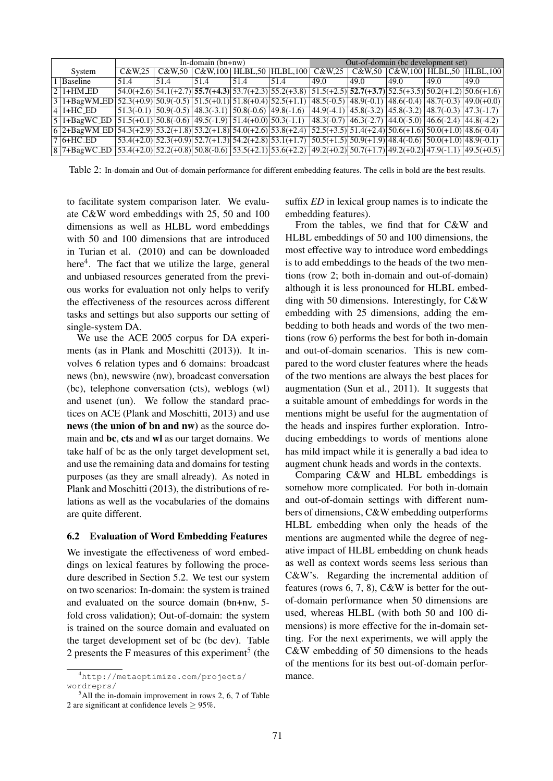|                                                                                                                                                                                                                                                                                  | In-domain $(bn+nw)$ |        |         |      | Out-of-domain (bc development set)                                                                                                                                                                                                         |        |        |                                                                                                        |      |                                                            |
|----------------------------------------------------------------------------------------------------------------------------------------------------------------------------------------------------------------------------------------------------------------------------------|---------------------|--------|---------|------|--------------------------------------------------------------------------------------------------------------------------------------------------------------------------------------------------------------------------------------------|--------|--------|--------------------------------------------------------------------------------------------------------|------|------------------------------------------------------------|
| System                                                                                                                                                                                                                                                                           | C&W.25              | C&W.50 | C&W.100 |      | $HLBL.50$  HLBL.100                                                                                                                                                                                                                        | C&W.25 | C&W.50 |                                                                                                        |      | $C&W.100$ HLBL.50 HLBL.100                                 |
| 1 Baseline                                                                                                                                                                                                                                                                       | 51.4                | 51.4   | 51.4    | 51.4 | 51.4                                                                                                                                                                                                                                       | 49.0   | 49.0   | 49.0                                                                                                   | 49.0 | 49.0                                                       |
| $2$   1+HM_ED                                                                                                                                                                                                                                                                    |                     |        |         |      | $[54.0(+2.6)]$ $[54.1(+2.7)]$ $[55.7(+4.3)]$ $[53.7(+2.3)]$ $[55.2(+3.8)]$ $[51.5(+2.5)]$ $[52.7(+3.7)]$ $[52.5(+3.5)]$ $[50.2(+1.2)]$ $[50.6(+1.6)]$                                                                                      |        |        |                                                                                                        |      |                                                            |
| $3 1+BagWMED$ 52.3(+0.9) 50.9(-0.5) 51.5(+0.1) 51.8(+0.4) 52.5(+1.1)                                                                                                                                                                                                             |                     |        |         |      |                                                                                                                                                                                                                                            |        |        |                                                                                                        |      | $ 48.5(-0.5) 48.9(-0.1) 48.6(-0.4) 48.7(-0.3) 49.0(+0.0) $ |
| $4$   1+HC ED                                                                                                                                                                                                                                                                    |                     |        |         |      | $\left  \frac{51.3(-0.1)}{50.9(-0.5)} \right $ $\left  \frac{48.3(-3.1)}{50.8(-0.6)} \right $ $\left  \frac{49.8(-1.6)}{44.9(-4.1)} \right $ $\left  \frac{45.8(-3.2)}{45.8(-3.2)} \right $ $\left  \frac{48.7(-0.3)}{47.3(-1.7)} \right $ |        |        |                                                                                                        |      |                                                            |
| $5 1+BagWC_ED$                                                                                                                                                                                                                                                                   |                     |        |         |      | $\left  \frac{51.5(+0.1)}{50.8(-0.6)} \right $ 49.5(-1.9) $\left  \frac{51.4(+0.0)}{50.3(-1.1)} \right $ 48.3(-0.7) $\left  \frac{46.3(-2.7)}{46.3(-2.7)} \right $ 44.0(-5.0) $\left  \frac{46.6(-2.4)}{44.8(-4.2)} \right $               |        |        |                                                                                                        |      |                                                            |
| $(6 2+BagWMED)$ $(54.3(+2.9) 53.2(+1.8) 53.2(+1.8) 54.0(+2.6) 53.8(+2.4) 52.5(+3.5) 51.4(+2.4) 50.6(+1.6) 50.0(+1.0) 48.6(-0.4) 50.0(+2.4) 51.0(+2.4) 52.0(+2.4) 53.2(+1.4) 54.0(+2.4) 55.2(+1.4) 56.0(+2.4) 57.2(+2.4) 58.0(+2.4) 59.0(+2.4) 59.0(+2.4) 51.0(+2.4) 52.0(+2.4) $ |                     |        |         |      |                                                                                                                                                                                                                                            |        |        |                                                                                                        |      |                                                            |
| $ 7 6+HC_E$                                                                                                                                                                                                                                                                      |                     |        |         |      | $\left  \frac{53.4(+2.0)}{52.3(+0.9)} \right  \left  \frac{52.7(+1.3)}{54.2(+2.8)} \right  \left  \frac{53.1(+1.7)}{53.1(+1.7)} \right $                                                                                                   |        |        | $\left  \frac{50.5(+1.5)}{50.9(+1.9)} \right  48.4(-0.6) \left  \frac{50.0(+1.0)}{48.9(-0.1)} \right $ |      |                                                            |
| $8/7 + BagWCED$                                                                                                                                                                                                                                                                  |                     |        |         |      | $\left[53.4(+2.0)\right]52.2(+0.8)\left[50.8(-0.6)\right]53.5(+2.1)\left[53.6(+2.2)\right]49.2(+0.2)\left[50.7(+1.7)\right]49.2(+0.2)\left[47.9(-1.1)\right]49.5(+0.5)$                                                                    |        |        |                                                                                                        |      |                                                            |

Table 2: In-domain and Out-of-domain performance for different embedding features. The cells in bold are the best results.

to facilitate system comparison later. We evaluate C&W word embeddings with 25, 50 and 100 dimensions as well as HLBL word embeddings with 50 and 100 dimensions that are introduced in Turian et al. (2010) and can be downloaded here<sup>4</sup>. The fact that we utilize the large, general and unbiased resources generated from the previous works for evaluation not only helps to verify the effectiveness of the resources across different tasks and settings but also supports our setting of single-system DA.

We use the ACE 2005 corpus for DA experiments (as in Plank and Moschitti (2013)). It involves 6 relation types and 6 domains: broadcast news (bn), newswire (nw), broadcast conversation (bc), telephone conversation (cts), weblogs (wl) and usenet (un). We follow the standard practices on ACE (Plank and Moschitti, 2013) and use news (the union of bn and nw) as the source domain and bc, cts and wl as our target domains. We take half of bc as the only target development set, and use the remaining data and domains for testing purposes (as they are small already). As noted in Plank and Moschitti (2013), the distributions of relations as well as the vocabularies of the domains are quite different.

#### 6.2 Evaluation of Word Embedding Features

We investigate the effectiveness of word embeddings on lexical features by following the procedure described in Section 5.2. We test our system on two scenarios: In-domain: the system is trained and evaluated on the source domain (bn+nw, 5 fold cross validation); Out-of-domain: the system is trained on the source domain and evaluated on the target development set of bc (bc dev). Table 2 presents the  $F$  measures of this experiment<sup>5</sup> (the

suffix *ED* in lexical group names is to indicate the embedding features).

From the tables, we find that for C&W and HLBL embeddings of 50 and 100 dimensions, the most effective way to introduce word embeddings is to add embeddings to the heads of the two mentions (row 2; both in-domain and out-of-domain) although it is less pronounced for HLBL embedding with 50 dimensions. Interestingly, for C&W embedding with 25 dimensions, adding the embedding to both heads and words of the two mentions (row 6) performs the best for both in-domain and out-of-domain scenarios. This is new compared to the word cluster features where the heads of the two mentions are always the best places for augmentation (Sun et al., 2011). It suggests that a suitable amount of embeddings for words in the mentions might be useful for the augmentation of the heads and inspires further exploration. Introducing embeddings to words of mentions alone has mild impact while it is generally a bad idea to augment chunk heads and words in the contexts.

Comparing C&W and HLBL embeddings is somehow more complicated. For both in-domain and out-of-domain settings with different numbers of dimensions, C&W embedding outperforms HLBL embedding when only the heads of the mentions are augmented while the degree of negative impact of HLBL embedding on chunk heads as well as context words seems less serious than C&W's. Regarding the incremental addition of features (rows 6, 7, 8), C&W is better for the outof-domain performance when 50 dimensions are used, whereas HLBL (with both 50 and 100 dimensions) is more effective for the in-domain setting. For the next experiments, we will apply the C&W embedding of 50 dimensions to the heads of the mentions for its best out-of-domain performance.

<sup>4</sup>http://metaoptimize.com/projects/ wordreprs/

 $5$ All the in-domain improvement in rows 2, 6, 7 of Table 2 are significant at confidence levels  $\geq$  95%.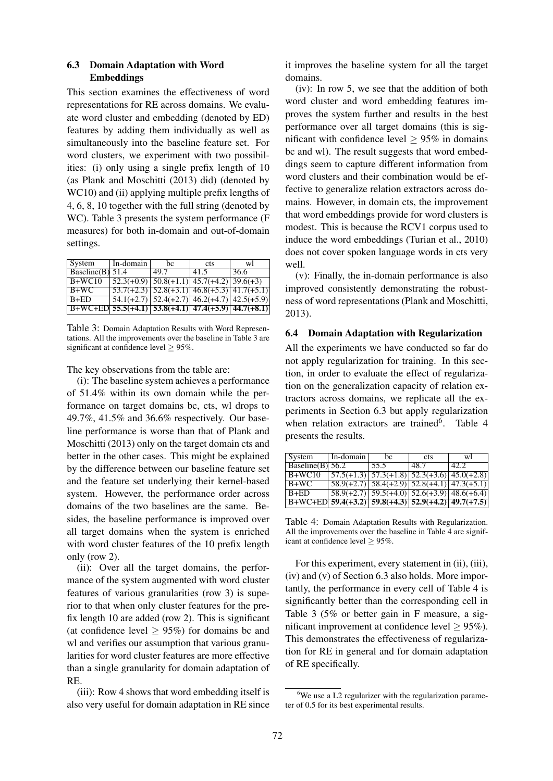## 6.3 Domain Adaptation with Word **Embeddings**

This section examines the effectiveness of word representations for RE across domains. We evaluate word cluster and embedding (denoted by ED) features by adding them individually as well as simultaneously into the baseline feature set. For word clusters, we experiment with two possibilities: (i) only using a single prefix length of 10 (as Plank and Moschitti (2013) did) (denoted by WC10) and (ii) applying multiple prefix lengths of 4, 6, 8, 10 together with the full string (denoted by WC). Table 3 presents the system performance (F measures) for both in-domain and out-of-domain settings.

| System                                                        | In-domain                                                       | bc                                                            | <b>cts</b> | w    |
|---------------------------------------------------------------|-----------------------------------------------------------------|---------------------------------------------------------------|------------|------|
| Baseline(B) $51.4$                                            |                                                                 | 49.7                                                          | 41.5       | 36.6 |
| $B+WC10$                                                      |                                                                 | $\frac{52.3(+0.9)}{50.8(+1.1)}$ $\frac{45.7(+4.2)}{39.6(+3)}$ |            |      |
| $B+WC$                                                        | $\frac{53.7(+2.3)}{52.8(+3.1)}$ $\frac{46.8(+5.3)}{41.7(+5.1)}$ |                                                               |            |      |
| $B+ED$                                                        |                                                                 | $54.1(+2.7)$ $52.4(+2.7)$ $46.2(+4.7)$ $42.5(+5.9)$           |            |      |
| $ B+WC+ED $ 55.5(+4.1)   53.8(+4.1)   47.4(+5.9)   44.7(+8.1) |                                                                 |                                                               |            |      |

Table 3: Domain Adaptation Results with Word Representations. All the improvements over the baseline in Table 3 are significant at confidence level > 95%.

The key observations from the table are:

(i): The baseline system achieves a performance of 51.4% within its own domain while the performance on target domains bc, cts, wl drops to 49.7%, 41.5% and 36.6% respectively. Our baseline performance is worse than that of Plank and Moschitti (2013) only on the target domain cts and better in the other cases. This might be explained by the difference between our baseline feature set and the feature set underlying their kernel-based system. However, the performance order across domains of the two baselines are the same. Besides, the baseline performance is improved over all target domains when the system is enriched with word cluster features of the 10 prefix length only (row 2).

(ii): Over all the target domains, the performance of the system augmented with word cluster features of various granularities (row 3) is superior to that when only cluster features for the prefix length 10 are added (row 2). This is significant (at confidence level  $\geq$  95%) for domains bc and wl and verifies our assumption that various granularities for word cluster features are more effective than a single granularity for domain adaptation of RE.

(iii): Row 4 shows that word embedding itself is also very useful for domain adaptation in RE since

it improves the baseline system for all the target domains.

(iv): In row 5, we see that the addition of both word cluster and word embedding features improves the system further and results in the best performance over all target domains (this is significant with confidence level  $> 95\%$  in domains bc and wl). The result suggests that word embeddings seem to capture different information from word clusters and their combination would be effective to generalize relation extractors across domains. However, in domain cts, the improvement that word embeddings provide for word clusters is modest. This is because the RCV1 corpus used to induce the word embeddings (Turian et al., 2010) does not cover spoken language words in cts very well.

(v): Finally, the in-domain performance is also improved consistently demonstrating the robustness of word representations (Plank and Moschitti, 2013).

## 6.4 Domain Adaptation with Regularization

All the experiments we have conducted so far do not apply regularization for training. In this section, in order to evaluate the effect of regularization on the generalization capacity of relation extractors across domains, we replicate all the experiments in Section 6.3 but apply regularization when relation extractors are trained<sup>6</sup>. Table 4 presents the results.

| System                                                        | In-domain | hc                                                                                              | cts  | w    |
|---------------------------------------------------------------|-----------|-------------------------------------------------------------------------------------------------|------|------|
| Baseline(B) $56.2$                                            |           | 55.5                                                                                            | 48.7 | 42.2 |
| $B+WC10$                                                      |           | $\frac{57.5(+1.3)}{57.3(+1.8)}$ $\frac{52.3(+3.6)}{45.0(+2.8)}$                                 |      |      |
| $B+WC$                                                        |           | $\overline{58.9(+2.7)}$ $\overline{58.4(+2.9)}$ $\overline{52.8(+4.1)}$ $\overline{47.3(+5.1)}$ |      |      |
| $B+ED$                                                        |           | $\overline{58.9(+2.7)}$ $\overline{59.5(+4.0)}$ $\overline{52.6(+3.9)}$ $\overline{48.6(+6.4)}$ |      |      |
| $\boxed{B+WC+ED}$ 59.4(+3.2) 59.8(+4.3) 52.9(+4.2) 49.7(+7.5) |           |                                                                                                 |      |      |

Table 4: Domain Adaptation Results with Regularization. All the improvements over the baseline in Table 4 are significant at confidence level  $\geq$  95%.

For this experiment, every statement in (ii), (iii), (iv) and (v) of Section 6.3 also holds. More importantly, the performance in every cell of Table 4 is significantly better than the corresponding cell in Table 3 (5% or better gain in F measure, a significant improvement at confidence level  $> 95\%$ ). This demonstrates the effectiveness of regularization for RE in general and for domain adaptation of RE specifically.

 $6$ We use a L2 regularizer with the regularization parameter of 0.5 for its best experimental results.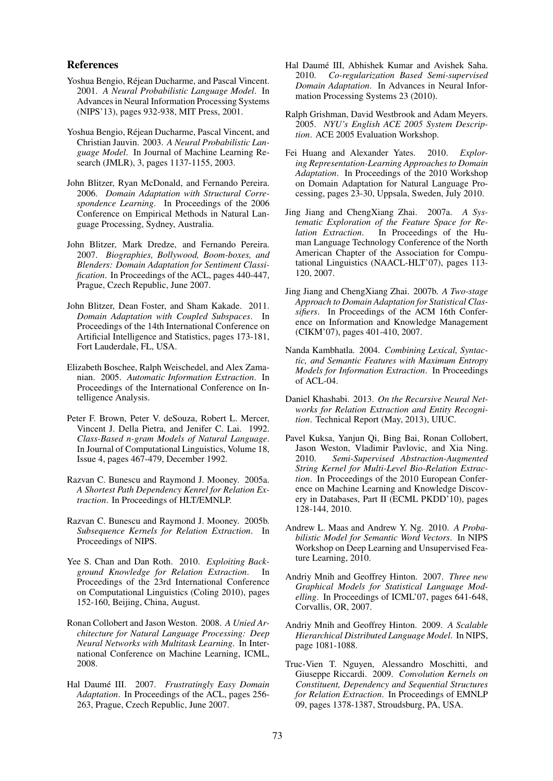#### References

- Yoshua Bengio, Rejean Ducharme, and Pascal Vincent. ´ 2001. *A Neural Probabilistic Language Model*. In Advances in Neural Information Processing Systems (NIPS'13), pages 932-938, MIT Press, 2001.
- Yoshua Bengio, Rejean Ducharme, Pascal Vincent, and ´ Christian Jauvin. 2003. *A Neural Probabilistic Language Model*. In Journal of Machine Learning Research (JMLR), 3, pages 1137-1155, 2003.
- John Blitzer, Ryan McDonald, and Fernando Pereira. 2006. *Domain Adaptation with Structural Correspondence Learning*. In Proceedings of the 2006 Conference on Empirical Methods in Natural Language Processing, Sydney, Australia.
- John Blitzer, Mark Dredze, and Fernando Pereira. 2007. *Biographies, Bollywood, Boom-boxes, and Blenders: Domain Adaptation for Sentiment Classification*. In Proceedings of the ACL, pages 440-447, Prague, Czech Republic, June 2007.
- John Blitzer, Dean Foster, and Sham Kakade. 2011. *Domain Adaptation with Coupled Subspaces*. In Proceedings of the 14th International Conference on Artificial Intelligence and Statistics, pages 173-181, Fort Lauderdale, FL, USA.
- Elizabeth Boschee, Ralph Weischedel, and Alex Zamanian. 2005. *Automatic Information Extraction*. In Proceedings of the International Conference on Intelligence Analysis.
- Peter F. Brown, Peter V. deSouza, Robert L. Mercer, Vincent J. Della Pietra, and Jenifer C. Lai. 1992. *Class-Based n-gram Models of Natural Language*. In Journal of Computational Linguistics, Volume 18, Issue 4, pages 467-479, December 1992.
- Razvan C. Bunescu and Raymond J. Mooney. 2005a. *A Shortest Path Dependency Kenrel for Relation Extraction*. In Proceedings of HLT/EMNLP.
- Razvan C. Bunescu and Raymond J. Mooney. 2005b. *Subsequence Kernels for Relation Extraction*. In Proceedings of NIPS.
- Yee S. Chan and Dan Roth. 2010. *Exploiting Background Knowledge for Relation Extraction*. In Proceedings of the 23rd International Conference on Computational Linguistics (Coling 2010), pages 152-160, Beijing, China, August.
- Ronan Collobert and Jason Weston. 2008. *A Unied Architecture for Natural Language Processing: Deep Neural Networks with Multitask Learning*. In International Conference on Machine Learning, ICML, 2008.
- Hal Daumé III. 2007. Frustratingly Easy Domain *Adaptation*. In Proceedings of the ACL, pages 256- 263, Prague, Czech Republic, June 2007.
- Hal Daumé III, Abhishek Kumar and Avishek Saha. 2010. *Co-regularization Based Semi-supervised Domain Adaptation*. In Advances in Neural Information Processing Systems 23 (2010).
- Ralph Grishman, David Westbrook and Adam Meyers. 2005. *NYU's English ACE 2005 System Description*. ACE 2005 Evaluation Workshop.
- Fei Huang and Alexander Yates. 2010. *Exploring Representation-Learning Approaches to Domain Adaptation*. In Proceedings of the 2010 Workshop on Domain Adaptation for Natural Language Processing, pages 23-30, Uppsala, Sweden, July 2010.
- Jing Jiang and ChengXiang Zhai. 2007a. *A Systematic Exploration of the Feature Space for Relation Extraction*. In Proceedings of the Human Language Technology Conference of the North American Chapter of the Association for Computational Linguistics (NAACL-HLT'07), pages 113- 120, 2007.
- Jing Jiang and ChengXiang Zhai. 2007b. *A Two-stage Approach to Domain Adaptation for Statistical Classifiers*. In Proceedings of the ACM 16th Conference on Information and Knowledge Management (CIKM'07), pages 401-410, 2007.
- Nanda Kambhatla. 2004. *Combining Lexical, Syntactic, and Semantic Features with Maximum Entropy Models for Information Extraction*. In Proceedings of ACL-04.
- Daniel Khashabi. 2013. *On the Recursive Neural Networks for Relation Extraction and Entity Recognition*. Technical Report (May, 2013), UIUC.
- Pavel Kuksa, Yanjun Qi, Bing Bai, Ronan Collobert, Jason Weston, Vladimir Pavlovic, and Xia Ning. 2010. *Semi-Supervised Abstraction-Augmented String Kernel for Multi-Level Bio-Relation Extraction*. In Proceedings of the 2010 European Conference on Machine Learning and Knowledge Discovery in Databases, Part II (ECML PKDD'10), pages 128-144, 2010.
- Andrew L. Maas and Andrew Y. Ng. 2010. *A Probabilistic Model for Semantic Word Vectors*. In NIPS Workshop on Deep Learning and Unsupervised Feature Learning, 2010.
- Andriy Mnih and Geoffrey Hinton. 2007. *Three new Graphical Models for Statistical Language Modelling*. In Proceedings of ICML'07, pages 641-648, Corvallis, OR, 2007.
- Andriy Mnih and Geoffrey Hinton. 2009. *A Scalable Hierarchical Distributed Language Model*. In NIPS, page 1081-1088.
- Truc-Vien T. Nguyen, Alessandro Moschitti, and Giuseppe Riccardi. 2009. *Convolution Kernels on Constituent, Dependency and Sequential Structures for Relation Extraction*. In Proceedings of EMNLP 09, pages 1378-1387, Stroudsburg, PA, USA.